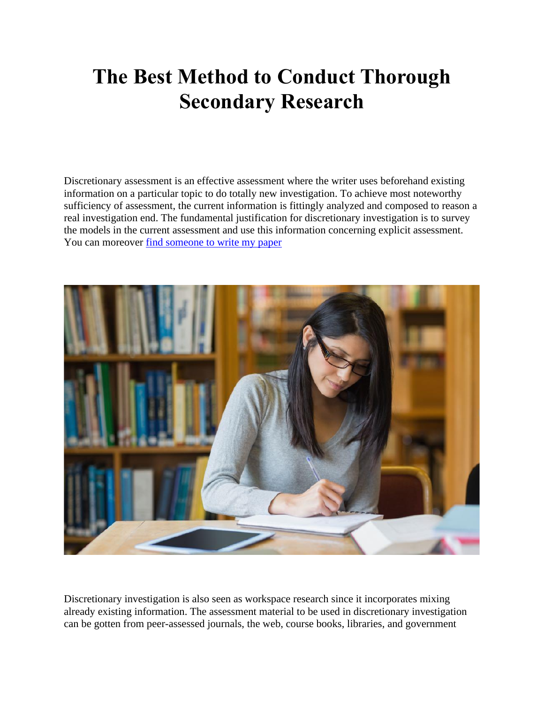# **The Best Method to Conduct Thorough Secondary Research**

Discretionary assessment is an effective assessment where the writer uses beforehand existing information on a particular topic to do totally new investigation. To achieve most noteworthy sufficiency of assessment, the current information is fittingly analyzed and composed to reason a real investigation end. The fundamental justification for discretionary investigation is to survey the models in the current assessment and use this information concerning explicit assessment. You can moreover [find someone to write my paper](https://www.sharkpapers.com/write-my-paper/where-can-i-pay-someone-to-write-my-paper)



Discretionary investigation is also seen as workspace research since it incorporates mixing already existing information. The assessment material to be used in discretionary investigation can be gotten from peer-assessed journals, the web, course books, libraries, and government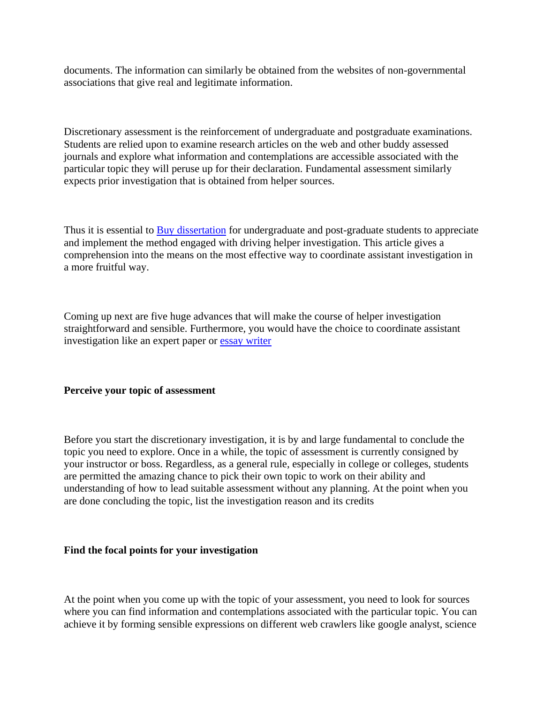documents. The information can similarly be obtained from the websites of non-governmental associations that give real and legitimate information.

Discretionary assessment is the reinforcement of undergraduate and postgraduate examinations. Students are relied upon to examine research articles on the web and other buddy assessed journals and explore what information and contemplations are accessible associated with the particular topic they will peruse up for their declaration. Fundamental assessment similarly expects prior investigation that is obtained from helper sources.

Thus it is essential to [Buy dissertation](https://www.gradschoolgenius.com/buy-dissertation) for undergraduate and post-graduate students to appreciate and implement the method engaged with driving helper investigation. This article gives a comprehension into the means on the most effective way to coordinate assistant investigation in a more fruitful way.

Coming up next are five huge advances that will make the course of helper investigation straightforward and sensible. Furthermore, you would have the choice to coordinate assistant investigation like an expert paper or [essay writer](https://www.essaywriter.college/)

# **Perceive your topic of assessment**

Before you start the discretionary investigation, it is by and large fundamental to conclude the topic you need to explore. Once in a while, the topic of assessment is currently consigned by your instructor or boss. Regardless, as a general rule, especially in college or colleges, students are permitted the amazing chance to pick their own topic to work on their ability and understanding of how to lead suitable assessment without any planning. At the point when you are done concluding the topic, list the investigation reason and its credits

#### **Find the focal points for your investigation**

At the point when you come up with the topic of your assessment, you need to look for sources where you can find information and contemplations associated with the particular topic. You can achieve it by forming sensible expressions on different web crawlers like google analyst, science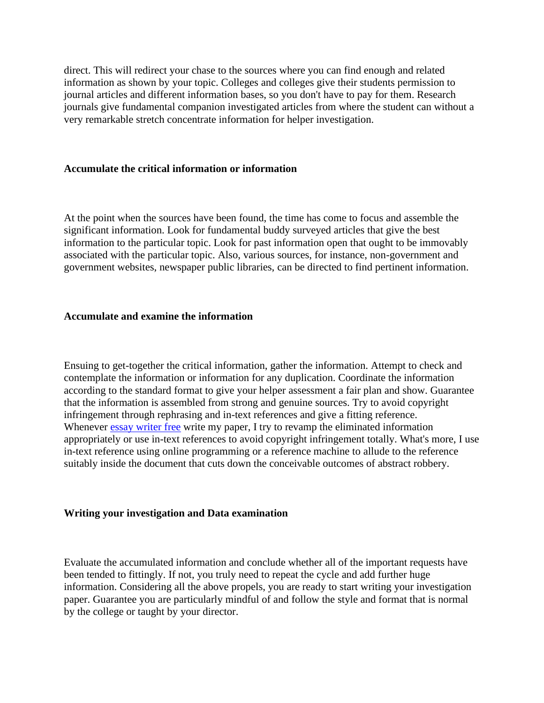direct. This will redirect your chase to the sources where you can find enough and related information as shown by your topic. Colleges and colleges give their students permission to journal articles and different information bases, so you don't have to pay for them. Research journals give fundamental companion investigated articles from where the student can without a very remarkable stretch concentrate information for helper investigation.

#### **Accumulate the critical information or information**

At the point when the sources have been found, the time has come to focus and assemble the significant information. Look for fundamental buddy surveyed articles that give the best information to the particular topic. Look for past information open that ought to be immovably associated with the particular topic. Also, various sources, for instance, non-government and government websites, newspaper public libraries, can be directed to find pertinent information.

## **Accumulate and examine the information**

Ensuing to get-together the critical information, gather the information. Attempt to check and contemplate the information or information for any duplication. Coordinate the information according to the standard format to give your helper assessment a fair plan and show. Guarantee that the information is assembled from strong and genuine sources. Try to avoid copyright infringement through rephrasing and in-text references and give a fitting reference. Whenever [essay writer free](https://essayhours.com/) write my paper, I try to revamp the eliminated information appropriately or use in-text references to avoid copyright infringement totally. What's more, I use in-text reference using online programming or a reference machine to allude to the reference suitably inside the document that cuts down the conceivable outcomes of abstract robbery.

# **Writing your investigation and Data examination**

Evaluate the accumulated information and conclude whether all of the important requests have been tended to fittingly. If not, you truly need to repeat the cycle and add further huge information. Considering all the above propels, you are ready to start writing your investigation paper. Guarantee you are particularly mindful of and follow the style and format that is normal by the college or taught by your director.